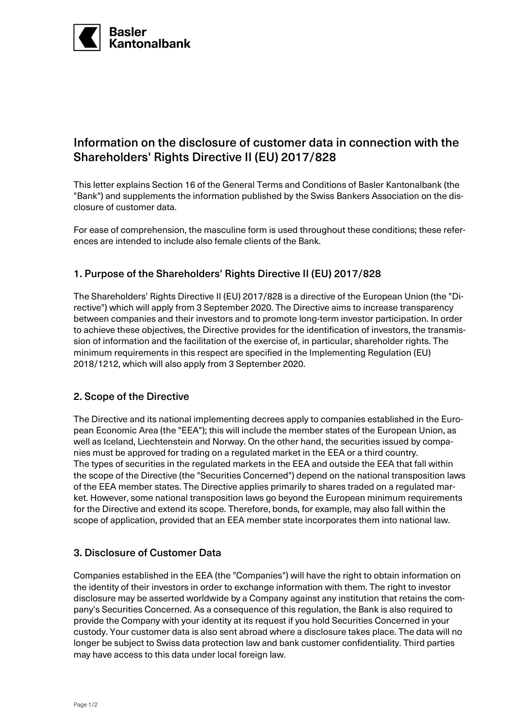

# Information on the disclosure of customer data in connection with the Shareholders' Rights Directive II (EU) 2017/828

This letter explains Section 16 of the General Terms and Conditions of Basler Kantonalbank (the "Bank") and supplements the information published by the Swiss Bankers Association on the disclosure of customer data.

For ease of comprehension, the masculine form is used throughout these conditions; these references are intended to include also female clients of the Bank.

# 1. Purpose of the Shareholders' Rights Directive II (EU) 2017/828

The Shareholders' Rights Directive II (EU) 2017/828 is a directive of the European Union (the "Directive") which will apply from 3 September 2020. The Directive aims to increase transparency between companies and their investors and to promote long-term investor participation. In order to achieve these objectives, the Directive provides for the identification of investors, the transmission of information and the facilitation of the exercise of, in particular, shareholder rights. The minimum requirements in this respect are specified in the Implementing Regulation (EU) 2018/1212, which will also apply from 3 September 2020.

### 2. Scope of the Directive

The Directive and its national implementing decrees apply to companies established in the European Economic Area (the "EEA"); this will include the member states of the European Union, as well as Iceland, Liechtenstein and Norway. On the other hand, the securities issued by companies must be approved for trading on a regulated market in the EEA or a third country. The types of securities in the regulated markets in the EEA and outside the EEA that fall within the scope of the Directive (the "Securities Concerned") depend on the national transposition laws of the EEA member states. The Directive applies primarily to shares traded on a regulated market. However, some national transposition laws go beyond the European minimum requirements for the Directive and extend its scope. Therefore, bonds, for example, may also fall within the scope of application, provided that an EEA member state incorporates them into national law.

### 3. Disclosure of Customer Data

Companies established in the EEA (the "Companies") will have the right to obtain information on the identity of their investors in order to exchange information with them. The right to investor disclosure may be asserted worldwide by a Company against any institution that retains the company's Securities Concerned. As a consequence of this regulation, the Bank is also required to provide the Company with your identity at its request if you hold Securities Concerned in your custody. Your customer data is also sent abroad where a disclosure takes place. The data will no longer be subject to Swiss data protection law and bank customer confidentiality. Third parties may have access to this data under local foreign law.